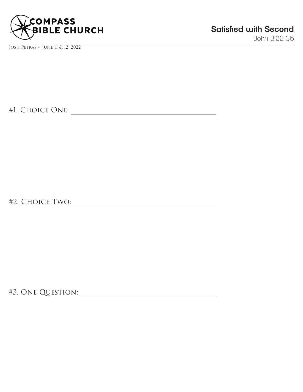

Josh Petras ~ June 11 & 12, 2022

#1. Choice One:

#2. Choice Two:

#3. One Question: